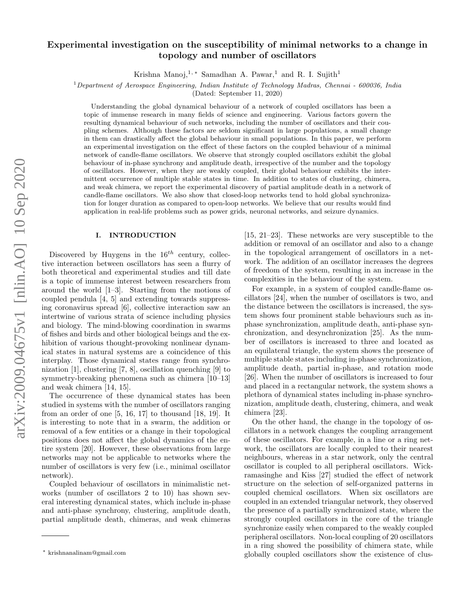# arXiv:2009.04675v1 [nlin.AO] 10 Sep 2020 arXiv:2009.04675v1 [nlin.AO] 10 Sep 2020

# Experimental investigation on the susceptibility of minimal networks to a change in topology and number of oscillators

Krishna Manoj,<sup>1, ∗</sup> Samadhan A. Pawar,<sup>1</sup> and R. I. Sujith<sup>1</sup>

<sup>1</sup>*Department of Aerospace Engineering, Indian Institute of Technology Madras, Chennai - 600036, India*

(Dated: September 11, 2020)

Understanding the global dynamical behaviour of a network of coupled oscillators has been a topic of immense research in many fields of science and engineering. Various factors govern the resulting dynamical behaviour of such networks, including the number of oscillators and their coupling schemes. Although these factors are seldom significant in large populations, a small change in them can drastically affect the global behaviour in small populations. In this paper, we perform an experimental investigation on the effect of these factors on the coupled behaviour of a minimal network of candle-flame oscillators. We observe that strongly coupled oscillators exhibit the global behaviour of in-phase synchrony and amplitude death, irrespective of the number and the topology of oscillators. However, when they are weakly coupled, their global behaviour exhibits the intermittent occurrence of multiple stable states in time. In addition to states of clustering, chimera, and weak chimera, we report the experimental discovery of partial amplitude death in a network of candle-flame oscillators. We also show that closed-loop networks tend to hold global synchronization for longer duration as compared to open-loop networks. We believe that our results would find application in real-life problems such as power grids, neuronal networks, and seizure dynamics.

## I. INTRODUCTION

Discovered by Huygens in the  $16^{th}$  century, collective interaction between oscillators has seen a flurry of both theoretical and experimental studies and till date is a topic of immense interest between researchers from around the world [1–3]. Starting from the motions of coupled pendula [4, 5] and extending towards suppressing coronavirus spread [6], collective interaction saw an intertwine of various strata of science including physics and biology. The mind-blowing coordination in swarms of fishes and birds and other biological beings and the exhibition of various thought-provoking nonlinear dynamical states in natural systems are a coincidence of this interplay. Those dynamical states range from synchronization [1], clustering [7, 8], oscillation quenching [9] to symmetry-breaking phenomena such as chimera [10–13] and weak chimera [14, 15].

The occurrence of these dynamical states has been studied in systems with the number of oscillators ranging from an order of one  $[5, 16, 17]$  to thousand  $[18, 19]$ . It is interesting to note that in a swarm, the addition or removal of a few entities or a change in their topological positions does not affect the global dynamics of the entire system [20]. However, these observations from large networks may not be applicable to networks where the number of oscillators is very few (i.e., minimal oscillator network).

Coupled behaviour of oscillators in minimalistic networks (number of oscillators 2 to 10) has shown several interesting dynamical states, which include in-phase and anti-phase synchrony, clustering, amplitude death, partial amplitude death, chimeras, and weak chimeras

[15, 21–23]. These networks are very susceptible to the addition or removal of an oscillator and also to a change in the topological arrangement of oscillators in a network. The addition of an oscillator increases the degrees of freedom of the system, resulting in an increase in the complexities in the behaviour of the system.

For example, in a system of coupled candle-flame oscillators [24], when the number of oscillators is two, and the distance between the oscillators is increased, the system shows four prominent stable behaviours such as inphase synchronization, amplitude death, anti-phase synchronization, and desynchronization [25]. As the number of oscillators is increased to three and located as an equilateral triangle, the system shows the presence of multiple stable states including in-phase synchronization, amplitude death, partial in-phase, and rotation mode [26]. When the number of oscillators is increased to four and placed in a rectangular network, the system shows a plethora of dynamical states including in-phase synchronization, amplitude death, clustering, chimera, and weak chimera [23].

On the other hand, the change in the topology of oscillators in a network changes the coupling arrangement of these oscillators. For example, in a line or a ring network, the oscillators are locally coupled to their nearest neighbours, whereas in a star network, only the central oscillator is coupled to all peripheral oscillators. Wickramasinghe and Kiss [27] studied the effect of network structure on the selection of self-organized patterns in coupled chemical oscillators. When six oscillators are coupled in an extended triangular network, they observed the presence of a partially synchronized state, where the strongly coupled oscillators in the core of the triangle synchronize easily when compared to the weakly coupled peripheral oscillators. Non-local coupling of 20 oscillators in a ring showed the possibility of chimera state, while globally coupled oscillators show the existence of clus-

<sup>∗</sup> krishnanalinam@gmail.com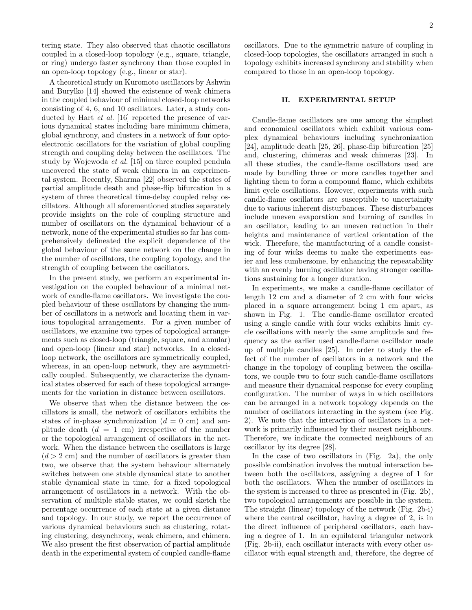tering state. They also observed that chaotic oscillators coupled in a closed-loop topology (e.g., square, triangle, or ring) undergo faster synchrony than those coupled in an open-loop topology (e.g., linear or star).

A theoretical study on Kuromoto oscillators by Ashwin and Burylko [14] showed the existence of weak chimera in the coupled behaviour of minimal closed-loop networks consisting of 4, 6, and 10 oscillators. Later, a study conducted by Hart et al. [16] reported the presence of various dynamical states including bare minimum chimera, global synchrony, and clusters in a network of four optoelectronic oscillators for the variation of global coupling strength and coupling delay between the oscillators. The study by Wojewoda et al. [15] on three coupled pendula uncovered the state of weak chimera in an experimental system. Recently, Sharma [22] observed the states of partial amplitude death and phase-flip bifurcation in a system of three theoretical time-delay coupled relay oscillators. Although all aforementioned studies separately provide insights on the role of coupling structure and number of oscillators on the dynamical behaviour of a network, none of the experimental studies so far has comprehensively delineated the explicit dependence of the global behaviour of the same network on the change in the number of oscillators, the coupling topology, and the strength of coupling between the oscillators.

In the present study, we perform an experimental investigation on the coupled behaviour of a minimal network of candle-flame oscillators. We investigate the coupled behaviour of these oscillators by changing the number of oscillators in a network and locating them in various topological arrangements. For a given number of oscillators, we examine two types of topological arrangements such as closed-loop (triangle, square, and annular) and open-loop (linear and star) networks. In a closedloop network, the oscillators are symmetrically coupled, whereas, in an open-loop network, they are asymmetrically coupled. Subsequently, we characterize the dynamical states observed for each of these topological arrangements for the variation in distance between oscillators.

We observe that when the distance between the oscillators is small, the network of oscillators exhibits the states of in-phase synchronization  $(d = 0 \text{ cm})$  and amplitude death  $(d = 1$  cm) irrespective of the number or the topological arrangement of oscillators in the network. When the distance between the oscillators is large  $(d > 2$  cm) and the number of oscillators is greater than two, we observe that the system behaviour alternately switches between one stable dynamical state to another stable dynamical state in time, for a fixed topological arrangement of oscillators in a network. With the observation of multiple stable states, we could sketch the percentage occurrence of each state at a given distance and topology. In our study, we report the occurrence of various dynamical behaviours such as clustering, rotating clustering, desynchrony, weak chimera, and chimera. We also present the first observation of partial amplitude death in the experimental system of coupled candle-flame oscillators. Due to the symmetric nature of coupling in closed-loop topologies, the oscillators arranged in such a topology exhibits increased synchrony and stability when compared to those in an open-loop topology.

## II. EXPERIMENTAL SETUP

Candle-flame oscillators are one among the simplest and economical oscillators which exhibit various complex dynamical behaviours including synchronization [24], amplitude death [25, 26], phase-flip bifurcation [25] and, clustering, chimeras and weak chimeras [23]. In all these studies, the candle-flame oscillators used are made by bundling three or more candles together and lighting them to form a compound flame, which exhibits limit cycle oscillations. However, experiments with such candle-flame oscillators are susceptible to uncertainity due to various inherent disturbances. These disturbances include uneven evaporation and burning of candles in an oscillator, leading to an uneven reduction in their heights and maintenance of vertical orientation of the wick. Therefore, the manufacturing of a candle consisting of four wicks deems to make the experiments easier and less cumbersome, by enhancing the repeatability with an evenly burning oscillator having stronger oscillations sustaining for a longer duration.

In experiments, we make a candle-flame oscillator of length 12 cm and a diameter of 2 cm with four wicks placed in a square arrangement being 1 cm apart, as shown in Fig. 1. The candle-flame oscillator created using a single candle with four wicks exhibits limit cycle oscillations with nearly the same amplitude and frequency as the earlier used candle-flame oscillator made up of multiple candles [25]. In order to study the effect of the number of oscillators in a network and the change in the topology of coupling between the oscillators, we couple two to four such candle-flame oscillators and measure their dynamical response for every coupling configuration. The number of ways in which oscillators can be arranged in a network topology depends on the number of oscillators interacting in the system (see Fig. 2). We note that the interaction of oscillators in a network is primarily influenced by their nearest neighbours. Therefore, we indicate the connected neighbours of an oscillator by its degree [28].

In the case of two oscillators in (Fig. 2a), the only possible combination involves the mutual interaction between both the oscillators, assigning a degree of 1 for both the oscillators. When the number of oscillators in the system is increased to three as presented in (Fig. 2b), two topological arrangements are possible in the system. The straight (linear) topology of the network (Fig. 2b-i) where the central oscillator, having a degree of 2, is in the direct influence of peripheral oscillators, each having a degree of 1. In an equilateral triangular network (Fig. 2b-ii), each oscillator interacts with every other oscillator with equal strength and, therefore, the degree of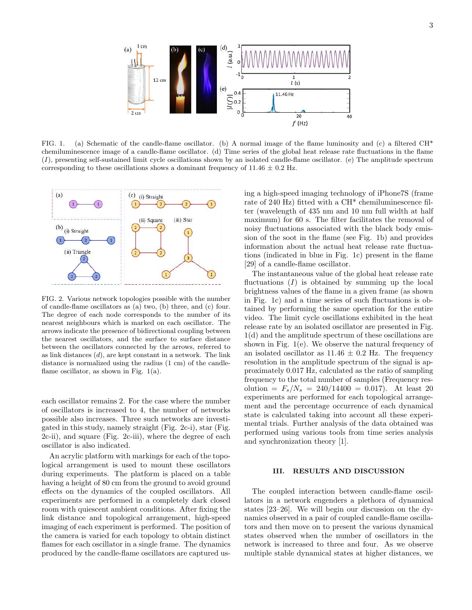

FIG. 1. (a) Schematic of the candle-flame oscillator. (b) A normal image of the flame luminosity and (c) a filtered CH\* chemiluminescence image of a candle-flame oscillator. (d) Time series of the global heat release rate fluctuations in the flame (I), presenting self-sustained limit cycle oscillations shown by an isolated candle-flame oscillator. (e) The amplitude spectrum corresponding to these oscillations shows a dominant frequency of  $11.46 \pm 0.2$  Hz.



FIG. 2. Various network topologies possible with the number of candle-flame oscillators as (a) two, (b) three, and (c) four. The degree of each node corresponds to the number of its nearest neighbours which is marked on each oscillator. The arrows indicate the presence of bidirectional coupling between the nearest oscillators, and the surface to surface distance between the oscillators connected by the arrows, referred to as link distances  $(d)$ , are kept constant in a network. The link distance is normalized using the radius (1 cm) of the candleflame oscillator, as shown in Fig.  $1(a)$ .

each oscillator remains 2. For the case where the number of oscillators is increased to 4, the number of networks possible also increases. Three such networks are investigated in this study, namely straight (Fig. 2c-i), star (Fig. 2c-ii), and square (Fig. 2c-iii), where the degree of each oscillator is also indicated.

An acrylic platform with markings for each of the topological arrangement is used to mount these oscillators during experiments. The platform is placed on a table having a height of 80 cm from the ground to avoid ground effects on the dynamics of the coupled oscillators. All experiments are performed in a completely dark closed room with quiescent ambient conditions. After fixing the link distance and topological arrangement, high-speed imaging of each experiment is performed. The position of the camera is varied for each topology to obtain distinct flames for each oscillator in a single frame. The dynamics produced by the candle-flame oscillators are captured using a high-speed imaging technology of iPhone7S (frame rate of 240 Hz) fitted with a CH\* chemiluminescence filter (wavelength of 435 nm and 10 nm full width at half maximum) for 60 s. The filter facilitates the removal of noisy fluctuations associated with the black body emission of the soot in the flame (see Fig. 1b) and provides information about the actual heat release rate fluctuations (indicated in blue in Fig. 1c) present in the flame [29] of a candle-flame oscillator.

The instantaneous value of the global heat release rate fluctuations  $(I)$  is obtained by summing up the local brightness values of the flame in a given frame (as shown in Fig. 1c) and a time series of such fluctuations is obtained by performing the same operation for the entire video. The limit cycle oscillations exhibited in the heat release rate by an isolated oscillator are presented in Fig. 1(d) and the amplitude spectrum of these oscillations are shown in Fig. 1(e). We observe the natural frequency of an isolated oscillator as  $11.46 \pm 0.2$  Hz. The frequency resolution in the amplitude spectrum of the signal is approximately 0.017 Hz, calculated as the ratio of sampling frequency to the total number of samples (Frequency resolution =  $F_s/N_s = 240/14400 = 0.017$ . At least 20 experiments are performed for each topological arrangement and the percentage occurrence of each dynamical state is calculated taking into account all these experimental trials. Further analysis of the data obtained was performed using various tools from time series analysis and synchronization theory [1].

### III. RESULTS AND DISCUSSION

The coupled interaction between candle-flame oscillators in a network engenders a plethora of dynamical states [23–26]. We will begin our discussion on the dynamics observed in a pair of coupled candle-flame oscillators and then move on to present the various dynamical states observed when the number of oscillators in the network is increased to three and four. As we observe multiple stable dynamical states at higher distances, we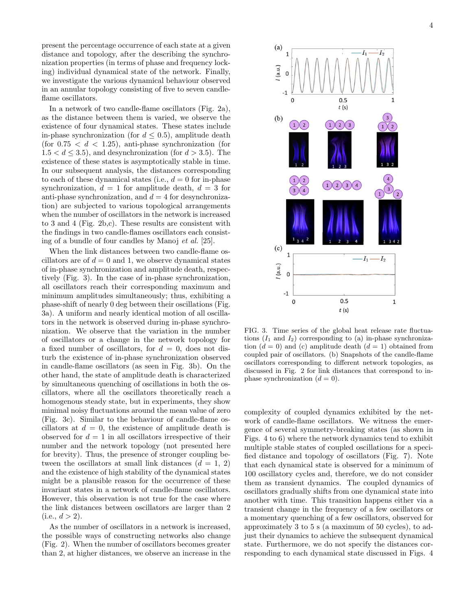present the percentage occurrence of each state at a given distance and topology, after the describing the synchronization properties (in terms of phase and frequency locking) individual dynamical state of the network. Finally, we investigate the various dynamical behaviour observed in an annular topology consisting of five to seven candleflame oscillators.

In a network of two candle-flame oscillators (Fig. 2a), as the distance between them is varied, we observe the existence of four dynamical states. These states include in-phase synchronization (for  $d \leq 0.5$ ), amplitude death (for  $0.75 < d < 1.25$ ), anti-phase synchronization (for  $1.5 < d \leq 3.5$ , and desynchronization (for  $d > 3.5$ ). The existence of these states is asymptotically stable in time. In our subsequent analysis, the distances corresponding to each of these dynamical states (i.e.,  $d = 0$  for in-phase synchronization,  $d = 1$  for amplitude death,  $d = 3$  for anti-phase synchronization, and  $d = 4$  for desynchronization) are subjected to various topological arrangements when the number of oscillators in the network is increased to 3 and 4 (Fig. 2b,c). These results are consistent with the findings in two candle-flames oscillators each consisting of a bundle of four candles by Manoj et al. [25].

When the link distances between two candle-flame oscillators are of  $d = 0$  and 1, we observe dynamical states of in-phase synchronization and amplitude death, respectively (Fig. 3). In the case of in-phase synchronization, all oscillators reach their corresponding maximum and minimum amplitudes simultaneously; thus, exhibiting a phase-shift of nearly 0 deg between their oscillations (Fig. 3a). A uniform and nearly identical motion of all oscillators in the network is observed during in-phase synchronization. We observe that the variation in the number of oscillators or a change in the network topology for a fixed number of oscillators, for  $d = 0$ , does not disturb the existence of in-phase synchronization observed in candle-flame oscillators (as seen in Fig. 3b). On the other hand, the state of amplitude death is characterized by simultaneous quenching of oscillations in both the oscillators, where all the oscillators theoretically reach a homogenous steady state, but in experiments, they show minimal noisy fluctuations around the mean value of zero (Fig. 3c). Similar to the behaviour of candle-flame oscillators at  $d = 0$ , the existence of amplitude death is observed for  $d = 1$  in all oscillators irrespective of their number and the network topology (not presented here for brevity). Thus, the presence of stronger coupling between the oscillators at small link distances  $(d = 1, 2)$ and the existence of high stability of the dynamical states might be a plausible reason for the occurrence of these invariant states in a network of candle-flame oscillators. However, this observation is not true for the case where the link distances between oscillators are larger than 2  $(i.e., d > 2).$ 

As the number of oscillators in a network is increased, the possible ways of constructing networks also change (Fig. 2). When the number of oscillators becomes greater than 2, at higher distances, we observe an increase in the



FIG. 3. Time series of the global heat release rate fluctuations  $(I_1 \text{ and } I_2)$  corresponding to (a) in-phase synchronization  $(d = 0)$  and (c) amplitude death  $(d = 1)$  obtained from coupled pair of oscillators. (b) Snapshots of the candle-flame oscillators corresponding to different network topologies, as discussed in Fig. 2 for link distances that correspond to inphase synchronization  $(d = 0)$ .

complexity of coupled dynamics exhibited by the network of candle-flame oscillators. We witness the emergence of several symmetry-breaking states (as shown in Figs. 4 to 6) where the network dynamics tend to exhibit multiple stable states of coupled oscillations for a specified distance and topology of oscillators (Fig. 7). Note that each dynamical state is observed for a minimum of 100 oscillatory cycles and, therefore, we do not consider them as transient dynamics. The coupled dynamics of oscillators gradually shifts from one dynamical state into another with time. This transition happens either via a transient change in the frequency of a few oscillators or a momentary quenching of a few oscillators, observed for approximately 3 to 5 s (a maximum of 50 cycles), to adjust their dynamics to achieve the subsequent dynamical state. Furthermore, we do not specify the distances corresponding to each dynamical state discussed in Figs. 4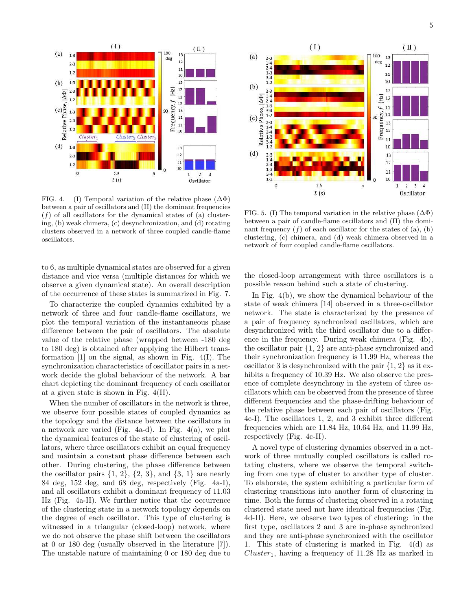

FIG. 4. (I) Temporal variation of the relative phase  $(\Delta \Phi)$ between a pair of oscillators and (II) the dominant frequencies  $(f)$  of all oscillators for the dynamical states of (a) clustering, (b) weak chimera, (c) desynchronization, and (d) rotating clusters observed in a network of three coupled candle-flame oscillators.

to 6, as multiple dynamical states are observed for a given distance and vice versa (multiple distances for which we observe a given dynamical state). An overall description of the occurrence of these states is summarized in Fig. 7.

To characterize the coupled dynamics exhibited by a network of three and four candle-flame oscillators, we plot the temporal variation of the instantaneous phase difference between the pair of oscillators. The absolute value of the relative phase (wrapped between -180 deg to 180 deg) is obtained after applying the Hilbert transformation [1] on the signal, as shown in Fig. 4(I). The synchronization characteristics of oscillator pairs in a network decide the global behaviour of the network. A bar chart depicting the dominant frequency of each oscillator at a given state is shown in Fig. 4(II).

When the number of oscillators in the network is three, we observe four possible states of coupled dynamics as the topology and the distance between the oscillators in a network are varied (Fig. 4a-d). In Fig. 4(a), we plot the dynamical features of the state of clustering of oscillators, where three oscillators exhibit an equal frequency and maintain a constant phase difference between each other. During clustering, the phase difference between the oscillator pairs  $\{1, 2\}$ ,  $\{2, 3\}$ , and  $\{3, 1\}$  are nearly 84 deg, 152 deg, and 68 deg, respectively (Fig. 4a-I), and all oscillators exhibit a dominant frequency of 11.03 Hz (Fig. 4a-II). We further notice that the occurrence of the clustering state in a network topology depends on the degree of each oscillator. This type of clustering is witnessed in a triangular (closed-loop) network, where we do not observe the phase shift between the oscillators at 0 or 180 deg (usually observed in the literature [7]). The unstable nature of maintaining 0 or 180 deg due to



FIG. 5. (I) The temporal variation in the relative phase  $(\Delta \Phi)$ between a pair of candle-flame oscillators and (II) the dominant frequency  $(f)$  of each oscillator for the states of  $(a)$ ,  $(b)$ clustering, (c) chimera, and (d) weak chimera observed in a network of four coupled candle-flame oscillators.

the closed-loop arrangement with three oscillators is a possible reason behind such a state of clustering.

In Fig. 4(b), we show the dynamical behaviour of the state of weak chimera [14] observed in a three-oscillator network. The state is characterized by the presence of a pair of frequency synchronized oscillators, which are desynchronized with the third oscillator due to a difference in the frequency. During weak chimera (Fig. 4b), the oscillator pair {1, 2} are anti-phase synchronized and their synchronization frequency is 11.99 Hz, whereas the oscillator 3 is desynchronized with the pair  $\{1, 2\}$  as it exhibits a frequency of 10.39 Hz. We also observe the presence of complete desynchrony in the system of three oscillators which can be observed from the presence of three different frequencies and the phase-drifting behaviour of the relative phase between each pair of oscillators (Fig. 4c-I). The oscillators 1, 2, and 3 exhibit three different frequencies which are 11.84 Hz, 10.64 Hz, and 11.99 Hz, respectively (Fig. 4c-II).

A novel type of clustering dynamics observed in a network of three mutually coupled oscillators is called rotating clusters, where we observe the temporal switching from one type of cluster to another type of cluster. To elaborate, the system exhibiting a particular form of clustering transitions into another form of clustering in time. Both the forms of clustering observed in a rotating clustered state need not have identical frequencies (Fig. 4d-II). Here, we observe two types of clustering: in the first type, oscillators 2 and 3 are in-phase synchronized and they are anti-phase synchronized with the oscillator 1. This state of clustering is marked in Fig. 4(d) as  $Cluster_1$ , having a frequency of 11.28 Hz as marked in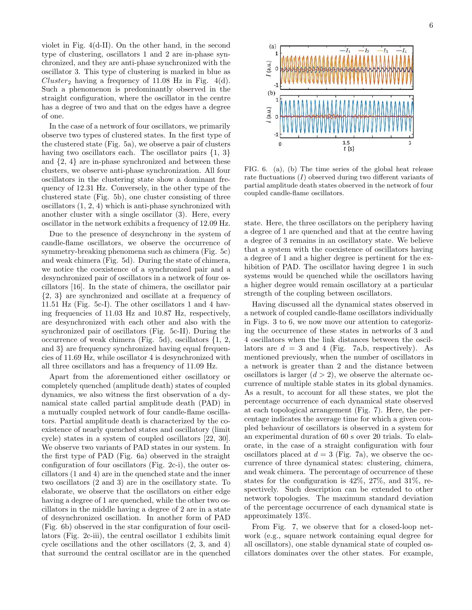violet in Fig. 4(d-II). On the other hand, in the second type of clustering, oscillators 1 and 2 are in-phase synchronized, and they are anti-phase synchronized with the oscillator 3. This type of clustering is marked in blue as Cluster<sub>2</sub> having a frequency of 11.08 Hz in Fig.  $4(d)$ . Such a phenomenon is predominantly observed in the straight configuration, where the oscillator in the centre has a degree of two and that on the edges have a degree of one.

In the case of a network of four oscillators, we primarily observe two types of clustered states. In the first type of the clustered state (Fig. 5a), we observe a pair of clusters having two oscillators each. The oscillator pairs  $\{1, 3\}$ and {2, 4} are in-phase synchronized and between these clusters, we observe anti-phase synchronization. All four oscillators in the clustering state show a dominant frequency of 12.31 Hz. Conversely, in the other type of the clustered state (Fig. 5b), one cluster consisting of three oscillators (1, 2, 4) which is anti-phase synchronized with another cluster with a single oscillator (3). Here, every oscillator in the network exhibits a frequency of 12.09 Hz.

Due to the presence of desynchrony in the system of candle-flame oscillators, we observe the occurrence of symmetry-breaking phenomena such as chimera (Fig. 5c) and weak chimera (Fig. 5d). During the state of chimera, we notice the coexistence of a synchronized pair and a desynchronized pair of oscillators in a network of four oscillators [16]. In the state of chimera, the oscillator pair {2, 3} are synchronized and oscillate at a frequency of 11.51 Hz (Fig. 5c-I). The other oscillators 1 and 4 having frequencies of 11.03 Hz and 10.87 Hz, respectively, are desynchronized with each other and also with the synchronized pair of oscillators (Fig. 5c-II). During the occurrence of weak chimera (Fig. 5d), oscillators {1, 2, and 3} are frequency synchronized having equal frequencies of 11.69 Hz, while oscillator 4 is desynchronized with all three oscillators and has a frequency of 11.09 Hz.

Apart from the aforementioned either oscillatory or completely quenched (amplitude death) states of coupled dynamics, we also witness the first observation of a dynamical state called partial amplitude death (PAD) in a mutually coupled network of four candle-flame oscillators. Partial amplitude death is characterized by the coexistence of nearly quenched states and oscillatory (limit cycle) states in a system of coupled oscillators [22, 30]. We observe two variants of PAD states in our system. In the first type of PAD (Fig. 6a) observed in the straight configuration of four oscillators (Fig. 2c-i), the outer oscillators (1 and 4) are in the quenched state and the inner two oscillators (2 and 3) are in the oscillatory state. To elaborate, we observe that the oscillators on either edge having a degree of 1 are quenched, while the other two oscillators in the middle having a degree of 2 are in a state of desynchronized oscillation. In another form of PAD (Fig. 6b) observed in the star configuration of four oscillators (Fig. 2c-iii), the central oscillator 1 exhibits limit cycle oscillations and the other oscillators (2, 3, and 4) that surround the central oscillator are in the quenched



FIG. 6. (a), (b) The time series of the global heat release rate fluctuations  $(I)$  observed during two different variants of partial amplitude death states observed in the network of four coupled candle-flame oscillators.

state. Here, the three oscillators on the periphery having a degree of 1 are quenched and that at the centre having a degree of 3 remains in an oscillatory state. We believe that a system with the coexistence of oscillators having a degree of 1 and a higher degree is pertinent for the exhibition of PAD. The oscillator having degree 1 in such systems would be quenched while the oscillators having a higher degree would remain oscillatory at a particular strength of the coupling between oscillators.

Having discussed all the dynamical states observed in a network of coupled candle-flame oscillators individually in Figs. 3 to 6, we now move our attention to categorizing the occurrence of these states in networks of 3 and 4 oscillators when the link distances between the oscillators are  $d = 3$  and 4 (Fig. 7a,b, respectively). As mentioned previously, when the number of oscillators in a network is greater than 2 and the distance between oscillators is larger  $(d > 2)$ , we observe the alternate occurrence of multiple stable states in its global dynamics. As a result, to account for all these states, we plot the percentage occurrence of each dynamical state observed at each topological arrangement (Fig. 7). Here, the percentage indicates the average time for which a given coupled behaviour of oscillators is observed in a system for an experimental duration of 60 s over 20 trials. To elaborate, in the case of a straight configuration with four oscillators placed at  $d = 3$  (Fig. 7a), we observe the occurrence of three dynamical states: clustering, chimera, and weak chimera. The percentage of occurrence of these states for the configuration is 42%, 27%, and 31%, respectively. Such description can be extended to other network topologies. The maximum standard deviation of the percentage occurrence of each dynamical state is approximately 13%.

From Fig. 7, we observe that for a closed-loop network (e.g., square network containing equal degree for all oscillators), one stable dynamical state of coupled oscillators dominates over the other states. For example,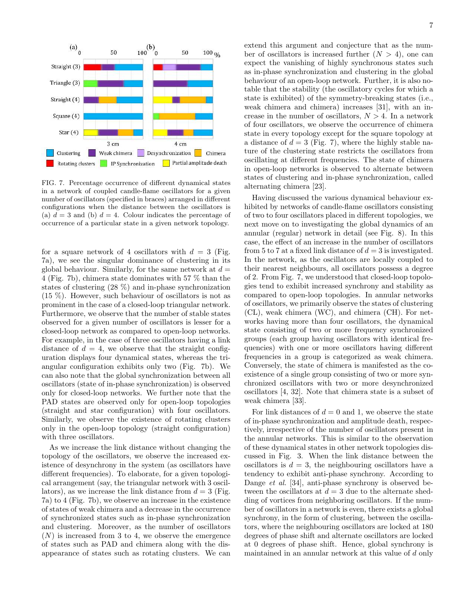

FIG. 7. Percentage occurrence of different dynamical states in a network of coupled candle-flame oscillators for a given number of oscillators (specified in braces) arranged in different configurations when the distance between the oscillators is (a)  $d = 3$  and (b)  $d = 4$ . Colour indicates the percentage of occurrence of a particular state in a given network topology.

for a square network of 4 oscillators with  $d = 3$  (Fig. 7a), we see the singular dominance of clustering in its global behaviour. Similarly, for the same network at  $d =$ 4 (Fig. 7b), chimera state dominates with 57 % than the states of clustering (28 %) and in-phase synchronization (15 %). However, such behaviour of oscillators is not as prominent in the case of a closed-loop triangular network. Furthermore, we observe that the number of stable states observed for a given number of oscillators is lesser for a closed-loop network as compared to open-loop networks. For example, in the case of three oscillators having a link distance of  $d = 4$ , we observe that the straight configuration displays four dynamical states, whereas the triangular configuration exhibits only two (Fig. 7b). We can also note that the global synchronization between all oscillators (state of in-phase synchronization) is observed only for closed-loop networks. We further note that the PAD states are observed only for open-loop topologies (straight and star configuration) with four oscillators. Similarly, we observe the existence of rotating clusters only in the open-loop topology (straight configuration) with three oscillators.

As we increase the link distance without changing the topology of the oscillators, we observe the increased existence of desynchrony in the system (as oscillators have different frequencies). To elaborate, for a given topological arrangement (say, the triangular network with 3 oscillators), as we increase the link distance from  $d = 3$  (Fig. 7a) to 4 (Fig. 7b), we observe an increase in the existence of states of weak chimera and a decrease in the occurrence of synchronized states such as in-phase synchronization and clustering. Moreover, as the number of oscillators  $(N)$  is increased from 3 to 4, we observe the emergence of states such as PAD and chimera along with the disappearance of states such as rotating clusters. We can

7

extend this argument and conjecture that as the number of oscillators is increased further  $(N > 4)$ , one can expect the vanishing of highly synchronous states such as in-phase synchronization and clustering in the global behaviour of an open-loop network. Further, it is also notable that the stability (the oscillatory cycles for which a state is exhibited) of the symmetry-breaking states (i.e., weak chimera and chimera) increases [31], with an increase in the number of oscillators,  $N > 4$ . In a network of four oscillators, we observe the occurrence of chimera state in every topology except for the square topology at a distance of  $d = 3$  (Fig. 7), where the highly stable nature of the clustering state restricts the oscillators from oscillating at different frequencies. The state of chimera in open-loop networks is observed to alternate between states of clustering and in-phase synchronization, called alternating chimera [23].

Having discussed the various dynamical behaviour exhibited by networks of candle-flame oscillators consisting of two to four oscillators placed in different topologies, we next move on to investigating the global dynamics of an annular (regular) network in detail (see Fig. 8). In this case, the effect of an increase in the number of oscillators from 5 to 7 at a fixed link distance of  $d = 3$  is investigated. In the network, as the oscillators are locally coupled to their nearest neighbours, all oscillators possess a degree of 2. From Fig. 7, we understood that closed-loop topologies tend to exhibit increased synchrony and stability as compared to open-loop topologies. In annular networks of oscillators, we primarily observe the states of clustering (CL), weak chimera (WC), and chimera (CH). For networks having more than four oscillators, the dynamical state consisting of two or more frequency synchronized groups (each group having oscillators with identical frequencies) with one or more oscillators having different frequencies in a group is categorized as weak chimera. Conversely, the state of chimera is manifested as the coexistence of a single group consisting of two or more synchronized oscillators with two or more desynchronized oscillators [4, 32]. Note that chimera state is a subset of weak chimera [33].

For link distances of  $d = 0$  and 1, we observe the state of in-phase synchronization and amplitude death, respectively, irrespective of the number of oscillators present in the annular networks. This is similar to the observation of these dynamical states in other network topologies discussed in Fig. 3. When the link distance between the oscillators is  $d = 3$ , the neighbouring oscillators have a tendency to exhibit anti-phase synchrony. According to Dange *et al.* [34], anti-phase synchrony is observed between the oscillators at  $d = 3$  due to the alternate shedding of vortices from neighboring oscillators. If the number of oscillators in a network is even, there exists a global synchrony, in the form of clustering, between the oscillators, where the neighbouring oscillators are locked at 180 degrees of phase shift and alternate oscillators are locked at 0 degrees of phase shift. Hence, global synchrony is maintained in an annular network at this value of d only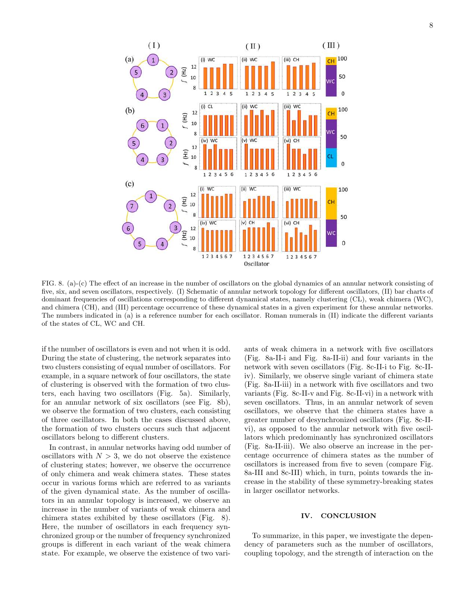

FIG. 8. (a)-(c) The effect of an increase in the number of oscillators on the global dynamics of an annular network consisting of five, six, and seven oscillators, respectively. (I) Schematic of annular network topology for different oscillators, (II) bar charts of dominant frequencies of oscillations corresponding to different dynamical states, namely clustering (CL), weak chimera (WC), and chimera (CH), and (III) percentage occurrence of these dynamical states in a given experiment for these annular networks. The numbers indicated in (a) is a reference number for each oscillator. Roman numerals in (II) indicate the different variants of the states of CL, WC and CH.

if the number of oscillators is even and not when it is odd. During the state of clustering, the network separates into two clusters consisting of equal number of oscillators. For example, in a square network of four oscillators, the state of clustering is observed with the formation of two clusters, each having two oscillators (Fig. 5a). Similarly, for an annular network of six oscillators (see Fig. 8b), we observe the formation of two clusters, each consisting of three oscillators. In both the cases discussed above, the formation of two clusters occurs such that adjacent oscillators belong to different clusters.

In contrast, in annular networks having odd number of oscillators with  $N > 3$ , we do not observe the existence of clustering states; however, we observe the occurrence of only chimera and weak chimera states. These states occur in various forms which are referred to as variants of the given dynamical state. As the number of oscillators in an annular topology is increased, we observe an increase in the number of variants of weak chimera and chimera states exhibited by these oscillators (Fig. 8). Here, the number of oscillators in each frequency synchronized group or the number of frequency synchronized groups is different in each variant of the weak chimera state. For example, we observe the existence of two vari-

ants of weak chimera in a network with five oscillators (Fig. 8a-II-i and Fig. 8a-II-ii) and four variants in the network with seven oscillators (Fig. 8c-II-i to Fig. 8c-IIiv). Similarly, we observe single variant of chimera state (Fig. 8a-II-iii) in a network with five oscillators and two variants (Fig. 8c-II-v and Fig. 8c-II-vi) in a network with seven oscillators. Thus, in an annular network of seven oscillators, we observe that the chimera states have a greater number of desynchronized oscillators (Fig. 8c-IIvi), as opposed to the annular network with five oscillators which predominantly has synchronized oscillators (Fig. 8a-II-iii). We also observe an increase in the percentage occurrence of chimera states as the number of oscillators is increased from five to seven (compare Fig. 8a-III and 8c-III) which, in turn, points towards the increase in the stability of these symmetry-breaking states in larger oscillator networks.

## IV. CONCLUSION

To summarize, in this paper, we investigate the dependency of parameters such as the number of oscillators, coupling topology, and the strength of interaction on the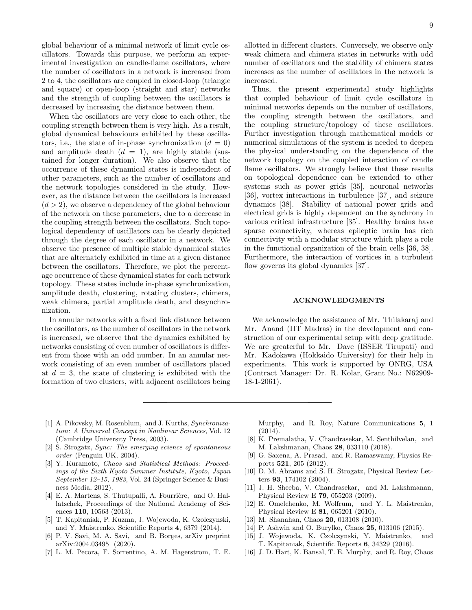global behaviour of a minimal network of limit cycle oscillators. Towards this purpose, we perform an experimental investigation on candle-flame oscillators, where the number of oscillators in a network is increased from 2 to 4, the oscillators are coupled in closed-loop (triangle and square) or open-loop (straight and star) networks and the strength of coupling between the oscillators is decreased by increasing the distance between them.

When the oscillators are very close to each other, the coupling strength between them is very high. As a result, global dynamical behaviours exhibited by these oscillators, i.e., the state of in-phase synchronization  $(d = 0)$ and amplitude death  $(d = 1)$ , are highly stable (sustained for longer duration). We also observe that the occurrence of these dynamical states is independent of other parameters, such as the number of oscillators and the network topologies considered in the study. However, as the distance between the oscillators is increased  $(d > 2)$ , we observe a dependency of the global behaviour of the network on these parameters, due to a decrease in the coupling strength between the oscillators. Such topological dependency of oscillators can be clearly depicted through the degree of each oscillator in a network. We observe the presence of multiple stable dynamical states that are alternately exhibited in time at a given distance between the oscillators. Therefore, we plot the percentage occurrence of these dynamical states for each network topology. These states include in-phase synchronization, amplitude death, clustering, rotating clusters, chimera, weak chimera, partial amplitude death, and desynchronization.

In annular networks with a fixed link distance between the oscillators, as the number of oscillators in the network is increased, we observe that the dynamics exhibited by networks consisting of even number of oscillators is different from those with an odd number. In an annular network consisting of an even number of oscillators placed at  $d = 3$ , the state of clustering is exhibited with the formation of two clusters, with adjacent oscillators being allotted in different clusters. Conversely, we observe only weak chimera and chimera states in networks with odd number of oscillators and the stability of chimera states increases as the number of oscillators in the network is increased.

Thus, the present experimental study highlights that coupled behaviour of limit cycle oscillators in minimal networks depends on the number of oscillators, the coupling strength between the oscillators, and the coupling structure/topology of these oscillators. Further investigation through mathematical models or numerical simulations of the system is needed to deepen the physical understanding on the dependence of the network topology on the coupled interaction of candle flame oscillators. We strongly believe that these results on topological dependence can be extended to other systems such as power grids [35], neuronal networks [36], vortex interactions in turbulence [37], and seizure dynamics [38]. Stability of national power grids and electrical grids is highly dependent on the synchrony in various critical infrastructure [35]. Healthy brains have sparse connectivity, whereas epileptic brain has rich connectivity with a modular structure which plays a role in the functional organization of the brain cells [36, 38]. Furthermore, the interaction of vortices in a turbulent flow governs its global dynamics [37].

### ACKNOWLEDGMENTS

We acknowledge the assistance of Mr. Thilakaraj and Mr. Anand (IIT Madras) in the development and construction of our experimental setup with deep gratitude. We are greaterful to Mr. Dave (ISSER Tirupati) and Mr. Kadokawa (Hokkaido University) for their help in experiments. This work is supported by ONRG, USA (Contract Manager: Dr. R. Kolar, Grant No.: N62909- 18-1-2061).

- [1] A. Pikovsky, M. Rosenblum, and J. Kurths, *Synchronization: A Universal Concept in Nonlinear Sciences*, Vol. 12 (Cambridge University Press, 2003).
- [2] S. Strogatz, *Sync: The emerging science of spontaneous order* (Penguin UK, 2004).
- [3] Y. Kuramoto, *Chaos and Statistical Methods: Proceedings of the Sixth Kyoto Summer Institute, Kyoto, Japan September 12–15, 1983*, Vol. 24 (Springer Science & Business Media, 2012).
- [4] E. A. Martens, S. Thutupalli, A. Fourrière, and O. Hallatschek, Proceedings of the National Academy of Sciences 110, 10563 (2013).
- [5] T. Kapitaniak, P. Kuzma, J. Wojewoda, K. Czolczynski, and Y. Maistrenko, Scientific Reports 4, 6379 (2014).
- [6] P. V. Savi, M. A. Savi, and B. Borges, arXiv preprint arXiv:2004.03495 (2020).
- [7] L. M. Pecora, F. Sorrentino, A. M. Hagerstrom, T. E.

Murphy, and R. Roy, Nature Communications 5, 1 (2014).

- [8] K. Premalatha, V. Chandrasekar, M. Senthilvelan, and M. Lakshmanan, Chaos 28, 033110 (2018).
- [9] G. Saxena, A. Prasad, and R. Ramaswamy, Physics Reports 521, 205 (2012).
- [10] D. M. Abrams and S. H. Strogatz, Physical Review Letters 93, 174102 (2004).
- [11] J. H. Sheeba, V. Chandrasekar, and M. Lakshmanan, Physical Review E 79, 055203 (2009).
- [12] E. Omelchenko, M. Wolfrum, and Y. L. Maistrenko, Physical Review E 81, 065201 (2010).
- [13] M. Shanahan, Chaos **20**, 013108 (2010).
- [14] P. Ashwin and O. Burylko, Chaos 25, 013106 (2015).
- [15] J. Wojewoda, K. Czolczynski, Y. Maistrenko, and T. Kapitaniak, Scientific Reports 6, 34329 (2016).
- [16] J. D. Hart, K. Bansal, T. E. Murphy, and R. Roy, Chaos